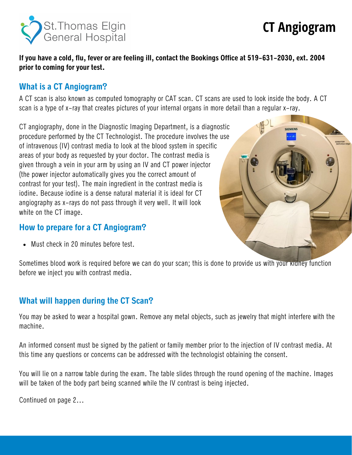

# **CT Angiogram**

**If you have a cold, flu, fever or are feeling ill, contact the Bookings Office at 519-631-2030, ext. 2004 prior to coming for your test.**

#### **What is a CT Angiogram?**

A CT scan is also known as computed tomography or CAT scan. CT scans are used to look inside the body. A CT scan is a type of x-ray that creates pictures of your internal organs in more detail than a regular x-ray.

CT angiography, done in the Diagnostic Imaging Department, is a diagnostic procedure performed by the CT Technologist. The procedure involves the use of intravenous (IV) contrast media to look at the blood system in specific areas of your body as requested by your doctor. The contrast media is given through a vein in your arm by using an IV and CT power injector (the power injector automatically gives you the correct amount of contrast for your test). The main ingredient in the contrast media is iodine. Because iodine is a dense natural material it is ideal for CT angiography as x-rays do not pass through it very well. It will look white on the CT image.

#### **How to prepare for a CT Angiogram?**

Must check in 20 minutes before test.

Sometimes blood work is required before we can do your scan; this is done to provide us with your kidney function before we inject you with contrast media.

### **What will happen during the CT Scan?**

You may be asked to wear a hospital gown. Remove any metal objects, such as jewelry that might interfere with the machine.

An informed consent must be signed by the patient or family member prior to the injection of IV contrast media. At this time any questions or concerns can be addressed with the technologist obtaining the consent.

You will lie on a narrow table during the exam. The table slides through the round opening of the machine. Images will be taken of the body part being scanned while the IV contrast is being injected.

Continued on page 2...